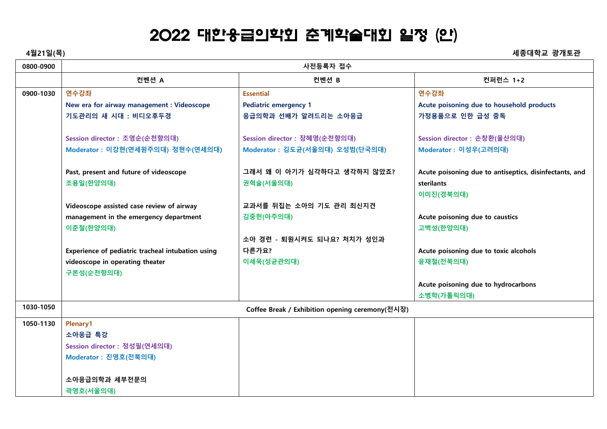## 2022 대한응급의학회 춘계학술대회 일정 (안)

**4월21일(목) 세종대학교 광개토관**

| 0800-0900 | 사전등록자 접수                                          |                                                 |                                                        |
|-----------|---------------------------------------------------|-------------------------------------------------|--------------------------------------------------------|
|           | 컨벤션 A                                             | 컨벤션 B                                           | 컨퍼런스 1+2                                               |
| 0900-1030 | 연수강좌                                              | <b>Essential</b>                                | 연수강좌                                                   |
|           | New era for airway management : Videoscope        | <b>Pediatric emergency 1</b>                    | Acute poisoning due to household products              |
|           | 기도관리의 새 시대 : 비디오후두경                               | 응급의학과 선배가 알려드리는 소아응급                            | 가정용품으로 인한 급성 중독                                        |
|           | Session director : 조영순(순천향의대)                     | Session director : 장혜영(순천향의대)                   | Session director : 손창환(울산의대)                           |
|           | Moderator : 이강현(연세원주의대) 정현수(연세의대)                 | Moderator : 김도균(서울의대) 오성범(단국의대)                 | Moderator : 이성우(고려의대)                                  |
|           | Past, present and future of videoscope            | 그래서 왜 이 아기가 심각하다고 생각하지 않았죠?                     | Acute poisoning due to antiseptics, disinfectants, and |
|           | 조용일(한양의대)                                         | 권혁술(서울의대)                                       | <b>sterilants</b>                                      |
|           |                                                   |                                                 | 이미진(경북의대)                                              |
|           | Videoscope assisted case review of airway         | 교과서를 뒤집는 소아의 기도 관리 최신지견                         |                                                        |
|           | management in the emergency department            | 김중헌(아주의대)                                       | Acute poisoning due to caustics                        |
|           | 이준철(한양의대)                                         |                                                 | 고벽성(한양의대)                                              |
|           |                                                   | 소아 경련 - 퇴원시켜도 되나요? 처치가 성인과                      |                                                        |
|           | Experience of pediatric tracheal intubation using | 다른가요?                                           | Acute poisoning due to toxic alcohols                  |
|           | videoscope in operating theater                   | 이세욱(성균관의대)                                      | 윤재철(전북의대)                                              |
|           | 구본성(순천향의대)                                        |                                                 |                                                        |
|           |                                                   |                                                 | Acute poisoning due to hydrocarbons                    |
|           |                                                   |                                                 | 소병학(가톨릭의대)                                             |
| 1030-1050 |                                                   | Coffee Break / Exhibition opening ceremony(전시장) |                                                        |
| 1050-1130 | Plenary1                                          |                                                 |                                                        |
|           | 소아응급 특강                                           |                                                 |                                                        |
|           | Session director : 정성필(연세의대)                      |                                                 |                                                        |
|           | Moderator : 진영호(전북의대)                             |                                                 |                                                        |
|           |                                                   |                                                 |                                                        |
|           | 소아응급의학과 세부전문의                                     |                                                 |                                                        |
|           | 곽영호(서울의대)                                         |                                                 |                                                        |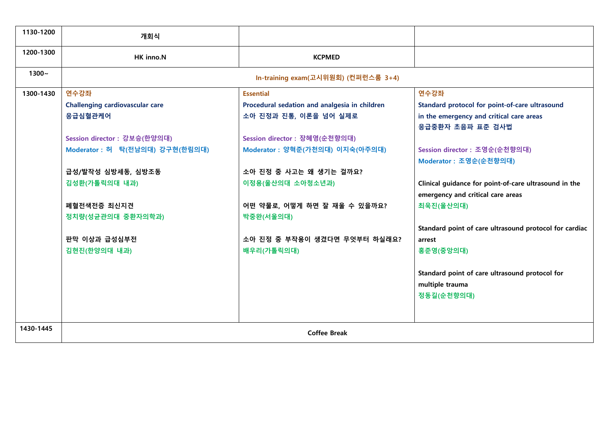| 1130-1200 | 개회식                             |                                               |                                                        |
|-----------|---------------------------------|-----------------------------------------------|--------------------------------------------------------|
| 1200-1300 | HK inno.N                       | <b>KCPMED</b>                                 |                                                        |
| $1300 -$  |                                 | In-training exam(고시위원회) (컨퍼런스룸 3+4)           |                                                        |
| 1300-1430 | 연수강좌                            | <b>Essential</b>                              | 연수강좌                                                   |
|           | Challenging cardiovascular care | Procedural sedation and analgesia in children | Standard protocol for point-of-care ultrasound         |
|           | 응급심혈관케어                         | 소아 진정과 진통, 이론을 넘어 실제로                         | in the emergency and critical care areas               |
|           |                                 |                                               | 응급중환자 초음파 표준 검사법                                       |
|           | Session director : 강보승(한양의대)    | Session director : 장혜영(순천향의대)                 |                                                        |
|           | Moderator : 허 탁(전남의대) 강구현(한림의대) | Moderator : 양혁준(가천의대) 이지숙(아주의대)               | Session director : 조영순(순천향의대)                          |
|           |                                 |                                               | Moderator : 조영순(순천향의대)                                 |
|           | 급성/발작성 심방세동, 심방조동               | 소아 진정 중 사고는 왜 생기는 걸까요?                        |                                                        |
|           | 김성환(가톨릭의대 내과)                   | 이정용(울산의대 소아청소년과)                              | Clinical guidance for point-of-care ultrasound in the  |
|           |                                 |                                               | emergency and critical care areas                      |
|           | 폐혈전색전증 최신지견                     | 어떤 약물로, 어떻게 하면 잘 재울 수 있을까요?                   | 최욱진(울산의대)                                              |
|           | 정치량(성균관의대 중환자의학과)               | 박중완(서울의대)                                     |                                                        |
|           |                                 |                                               | Standard point of care ultrasound protocol for cardiac |
|           | 판막 이상과 급성심부전                    | 소아 진정 중 부작용이 생겼다면 무엇부터 하실래요?                  | arrest                                                 |
|           | 김현진(한양의대 내과)                    | 배우리(가톨릭의대)                                    | 홍준영(중앙의대)                                              |
|           |                                 |                                               |                                                        |
|           |                                 |                                               | Standard point of care ultrasound protocol for         |
|           |                                 |                                               | multiple trauma                                        |
|           |                                 |                                               | 정동길(순천향의대)                                             |
|           |                                 |                                               |                                                        |
|           |                                 |                                               |                                                        |
| 1430-1445 | <b>Coffee Break</b>             |                                               |                                                        |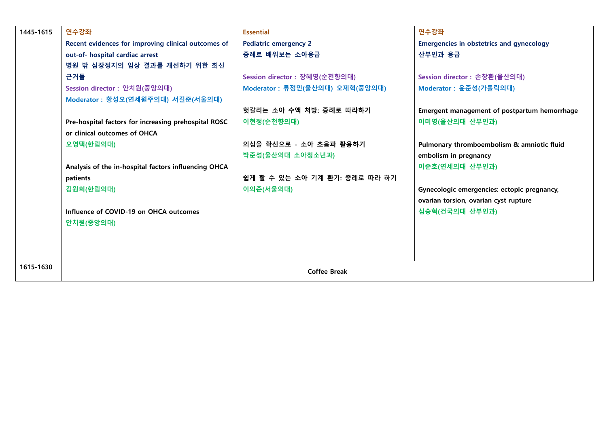| 1445-1615 | 연수강좌                                                 | <b>Essential</b>                | 연수강좌                                            |
|-----------|------------------------------------------------------|---------------------------------|-------------------------------------------------|
|           | Recent evidences for improving clinical outcomes of  | <b>Pediatric emergency 2</b>    | <b>Emergencies in obstetrics and gynecology</b> |
|           | out-of- hospital cardiac arrest                      | 증례로 배워보는 소아응급                   | 산부인과 응급                                         |
|           | 병원 밖 심장정지의 임상 결과를 개선하기 위한 최신                         |                                 |                                                 |
|           | 근거들                                                  | Session director : 장혜영(순천향의대)   | Session director : 손창환(울산의대)                    |
|           | Session director : 안치원(중앙의대)                         | Moderator : 류정민(울산의대) 오제혁(중앙의대) | Moderator : 윤준성(가톨릭의대)                          |
|           | Moderator : 황성오(연세원주의대) 서길준(서울의대)                    |                                 |                                                 |
|           |                                                      | 헛갈리는 소아 수액 처방: 증례로 따라하기         | Emergent management of postpartum hemorrhage    |
|           | Pre-hospital factors for increasing prehospital ROSC | 이현정(순천향의대)                      | 이미영(울산의대 산부인과)                                  |
|           | or clinical outcomes of OHCA                         |                                 |                                                 |
|           | 오영택(한림의대)                                            | 의심을 확신으로 - 소아 초음파 활용하기          | Pulmonary thromboembolism & amniotic fluid      |
|           |                                                      | 박준성(울산의대 소아청소년과)                | embolism in pregnancy                           |
|           | Analysis of the in-hospital factors influencing OHCA |                                 | 이준호(연세의대 산부인과)                                  |
|           | patients                                             | 쉽게 할 수 있는 소아 기계 환기: 증례로 따라 하기   |                                                 |
|           | 김원희(한림의대)                                            | 이의준(서울의대)                       | Gynecologic emergencies: ectopic pregnancy,     |
|           |                                                      |                                 | ovarian torsion, ovarian cyst rupture           |
|           | Influence of COVID-19 on OHCA outcomes               |                                 | 심승혁(건국의대 산부인과)                                  |
|           | 안치원(중앙의대)                                            |                                 |                                                 |
|           |                                                      |                                 |                                                 |
|           |                                                      |                                 |                                                 |
|           |                                                      |                                 |                                                 |
| 1615-1630 |                                                      | <b>Coffee Break</b>             |                                                 |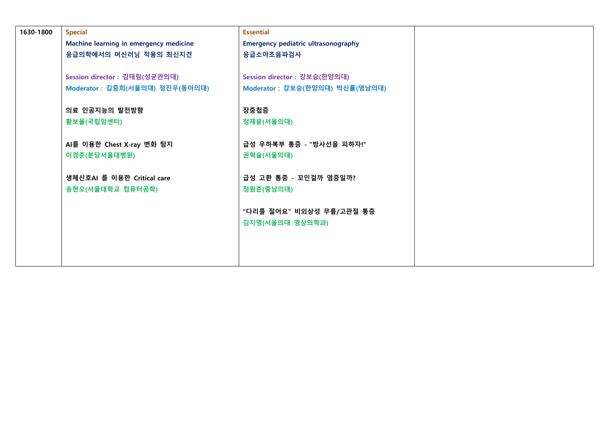| 1630-1800 | <b>Special</b>                         | <b>Essential</b>                           |  |
|-----------|----------------------------------------|--------------------------------------------|--|
|           | Machine learning in emergency medicine | <b>Emergency pediatric ultrasonography</b> |  |
|           | 응급의학에서의 머신러닝 적용의 최신지견                  | 응급소아초음파검사                                  |  |
|           |                                        |                                            |  |
|           | Session director : 김태림(성균관의대)          | Session director : 강보승(한양의대)               |  |
|           | Moderator : 김중희(서울의대) 정진우(동아의대)        | Moderator : 강보승(한양의대) 박신률(영남의대)            |  |
|           |                                        |                                            |  |
|           | 의료 인공지능의 발전방향                          | 장중첩증                                       |  |
|           | 황보율(국립암센터)                             | 정재윤(서울의대)                                  |  |
|           |                                        |                                            |  |
|           | AI를 이용한 Chest X-ray 변화 탐지              | 급성 우하복부 통증 - "방사선을 피하자!"                   |  |
|           | 이경준(분당서울대병원)                           | 권혁술(서울의대)                                  |  |
|           |                                        |                                            |  |
|           | 생체신호AI 를 이용한 Critical care             | 급성 고환 통증 - 꼬인걸까 염증일까?                      |  |
|           | 송현오(서울대학교 컴퓨터공학)                       | 정원준(충남의대)                                  |  |
|           |                                        |                                            |  |
|           |                                        | "다리를 절어요" 비외상성 무릎/고관절 통증                   |  |
|           |                                        | 김지영(서울의대 영상의학과)                            |  |
|           |                                        |                                            |  |
|           |                                        |                                            |  |
|           |                                        |                                            |  |
|           |                                        |                                            |  |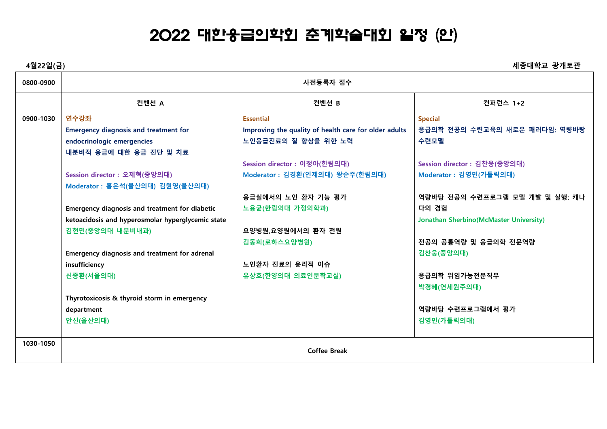## 2022 대한응급의학회 춘계학술대회 일정 (안)

| 4월22일(금)  |                                                       |                                                       | 세종대학교 광개토관                                     |
|-----------|-------------------------------------------------------|-------------------------------------------------------|------------------------------------------------|
| 0800-0900 | 사전등록자 접수                                              |                                                       |                                                |
|           | 컨벤션 A                                                 | 컨벤션 B                                                 | 컨퍼런스 1+2                                       |
| 0900-1030 | 연수강좌                                                  | <b>Essential</b>                                      | <b>Special</b>                                 |
|           | <b>Emergency diagnosis and treatment for</b>          | Improving the quality of health care for older adults | 응급의학 전공의 수련교육의 새로운 패러다임: 역량바탕                  |
|           | endocrinologic emergencies                            | 노인응급진료의 질 향상을 위한 노력                                   | 수련모델                                           |
|           | 내분비적 응급에 대한 응급 진단 및 치료                                |                                                       |                                                |
|           |                                                       | Session director : 이정아(한림의대)                          | Session director : 김찬웅(중앙의대)                   |
|           | Session director : 오제혁(중앙의대)                          | Moderator : 김경환(인제의대) 왕순주(한림의대)                       | Moderator : 김영민(가톨릭의대)                         |
|           | Moderator : 홍은석(울산의대) 김원영(울산의대)                       |                                                       |                                                |
|           |                                                       | 응급실에서의 노인 환자 기능 평가                                    | 역량바탕 전공의 수련프로그램 모델 개발 및 실행: 캐나                 |
|           | <b>Emergency diagnosis and treatment for diabetic</b> | 노용균(한림의대 가정의학과)                                       | 다의 경험                                          |
|           | ketoacidosis and hyperosmolar hyperglycemic state     |                                                       | <b>Jonathan Sherbino (McMaster University)</b> |
|           | 김현민(중앙의대 내분비내과)                                       | 요양병원,요양원에서의 환자 전원                                     |                                                |
|           |                                                       | 김동희(로하스요양병원)                                          | 전공의 공통역량 및 응급의학 전문역량                           |
|           | Emergency diagnosis and treatment for adrenal         |                                                       | 김찬웅(중앙의대)                                      |
|           | insufficiency                                         | 노인환자 진료의 윤리적 이슈                                       |                                                |
|           | 신종환(서울의대)                                             | 유상호(한양의대 의료인문학교실)                                     | 응급의학 위임가능전문직무                                  |
|           |                                                       |                                                       | 박경혜(연세원주의대)                                    |
|           | Thyrotoxicosis & thyroid storm in emergency           |                                                       |                                                |
|           | department                                            |                                                       | 역량바탕 수련프로그램에서 평가                               |
|           | 안신(울산의대)                                              |                                                       | 김영민(가톨릭의대)                                     |
|           |                                                       |                                                       |                                                |
| 1030-1050 |                                                       |                                                       |                                                |
|           |                                                       | <b>Coffee Break</b>                                   |                                                |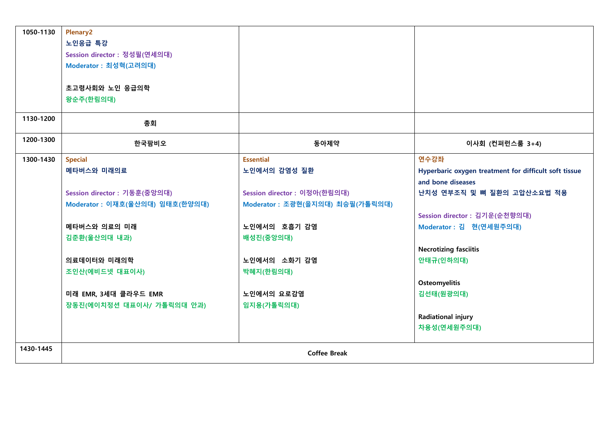| 1050-1130 | <b>Plenary2</b>                 |                                  |                                                       |
|-----------|---------------------------------|----------------------------------|-------------------------------------------------------|
|           | 노인응급 특강                         |                                  |                                                       |
|           | Session director : 정성필(연세의대)    |                                  |                                                       |
|           | Moderator : 최성혁(고려의대)           |                                  |                                                       |
|           |                                 |                                  |                                                       |
|           | 초고령사회와 노인 응급의학                  |                                  |                                                       |
|           | 왕순주(한림의대)                       |                                  |                                                       |
|           |                                 |                                  |                                                       |
| 1130-1200 | 총회                              |                                  |                                                       |
| 1200-1300 | 한국팜비오                           | 동아제약                             | 이사회 (컨퍼런스룸 3+4)                                       |
| 1300-1430 | <b>Special</b>                  | <b>Essential</b>                 | 연수강좌                                                  |
|           | 메타버스와 미래의료                      | 노인에서의 감염성 질환                     | Hyperbaric oxygen treatment for difficult soft tissue |
|           |                                 |                                  | and bone diseases                                     |
|           | Session director : 기동훈(중앙의대)    | Session director : 이정아(한림의대)     | 난치성 연부조직 및 뼈 질환의 고압산소요법 적용                            |
|           | Moderator : 이재호(울산의대) 임태호(한양의대) | Moderator : 조광현(을지의대) 최승필(가톨릭의대) |                                                       |
|           |                                 |                                  | Session director : 김기운(순천향의대)                         |
|           | 메타버스와 의료의 미래                    | 노인에서의 호흡기 감염                     | Moderator : 김 현(연세원주의대)                               |
|           | 김준환(울산의대 내과)                    | 배성진(중앙의대)                        |                                                       |
|           |                                 |                                  | <b>Necrotizing fasciitis</b>                          |
|           | 의료데이터와 미래의학                     | 노인에서의 소화기 감염                     | 안태규(인하의대)                                             |
|           | 조인산(에비드넷 대표이사)                  | 박혜지(한림의대)                        |                                                       |
|           |                                 |                                  | <b>Osteomyelitis</b>                                  |
|           | 미래 EMR, 3세대 클라우드 EMR            | 노인에서의 요로감염                       | 김선태(원광의대)                                             |
|           | 장동진(에이치정션 대표이사/ 가톨릭의대 안과)       | 임지용(가톨릭의대)                       |                                                       |
|           |                                 |                                  | Radiational injury                                    |
|           |                                 |                                  | 차용성(연세원주의대)                                           |
| 1430-1445 |                                 | <b>Coffee Break</b>              |                                                       |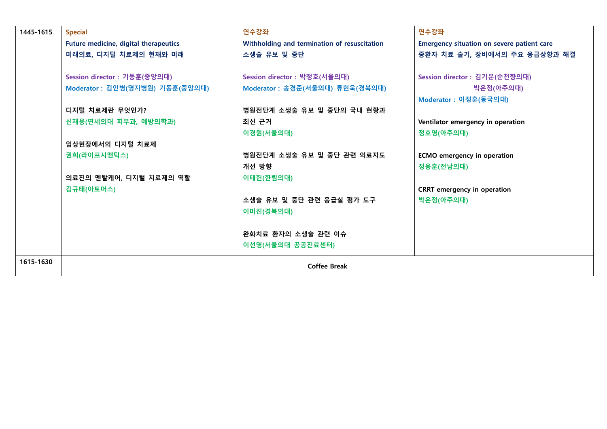| 1445-1615 | <b>Special</b>                        | 연수강좌                                         | 연수강좌                                              |
|-----------|---------------------------------------|----------------------------------------------|---------------------------------------------------|
|           |                                       |                                              |                                                   |
|           | Future medicine, digital therapeutics | Withholding and termination of resuscitation | <b>Emergency situation on severe patient care</b> |
|           | 미래의료, 디지털 치료제의 현재와 미래                 | 소생술 유보 및 중단                                  | 중환자 치료 술기, 장비에서의 주요 응급상황과 해결                      |
|           |                                       |                                              |                                                   |
|           | Session director : 기동훈(중앙의대)          | Session director : 박정호(서울의대)                 | Session director : 김기운(순천향의대)                     |
|           | Moderator : 김인병(명지병원) 기동훈(중앙의대)       | Moderator : 송경준(서울의대) 류현욱(경북의대)              | 박은정(아주의대)                                         |
|           |                                       |                                              | Moderator : 이정훈(동국의대)                             |
|           | 디지털 치료제란 무엇인가?                        | 병원전단계 소생술 유보 및 중단의 국내 현황과                    |                                                   |
|           | 신재용(연세의대 피부과, 예방의학과)                  | 최신 근거                                        | Ventilator emergency in operation                 |
|           |                                       | 이경원(서울의대)                                    | 정호영(아주의대)                                         |
|           | 임상현장에서의 디지털 치료제                       |                                              |                                                   |
|           | 권희(라이프시맨틱스)                           | 병원전단계 소생술 유보 및 중단 관련 의료지도                    | <b>ECMO</b> emergency in operation                |
|           |                                       | 개선 방향                                        | 정용훈(전남의대)                                         |
|           | 의료진의 멘탈케어, 디지털 치료제의 역할                | 이태헌(한림의대)                                    |                                                   |
|           | 김규태(아토머스)                             |                                              | <b>CRRT</b> emergency in operation                |
|           |                                       | 소생술 유보 및 중단 관련 응급실 평가 도구                     | 박은정(아주의대)                                         |
|           |                                       | 이미진(경북의대)                                    |                                                   |
|           |                                       |                                              |                                                   |
|           |                                       | 완화치료 환자의 소생술 관련 이슈                           |                                                   |
|           |                                       | 이선영(서울의대 공공진료센터)                             |                                                   |
|           |                                       |                                              |                                                   |
| 1615-1630 | <b>Coffee Break</b>                   |                                              |                                                   |